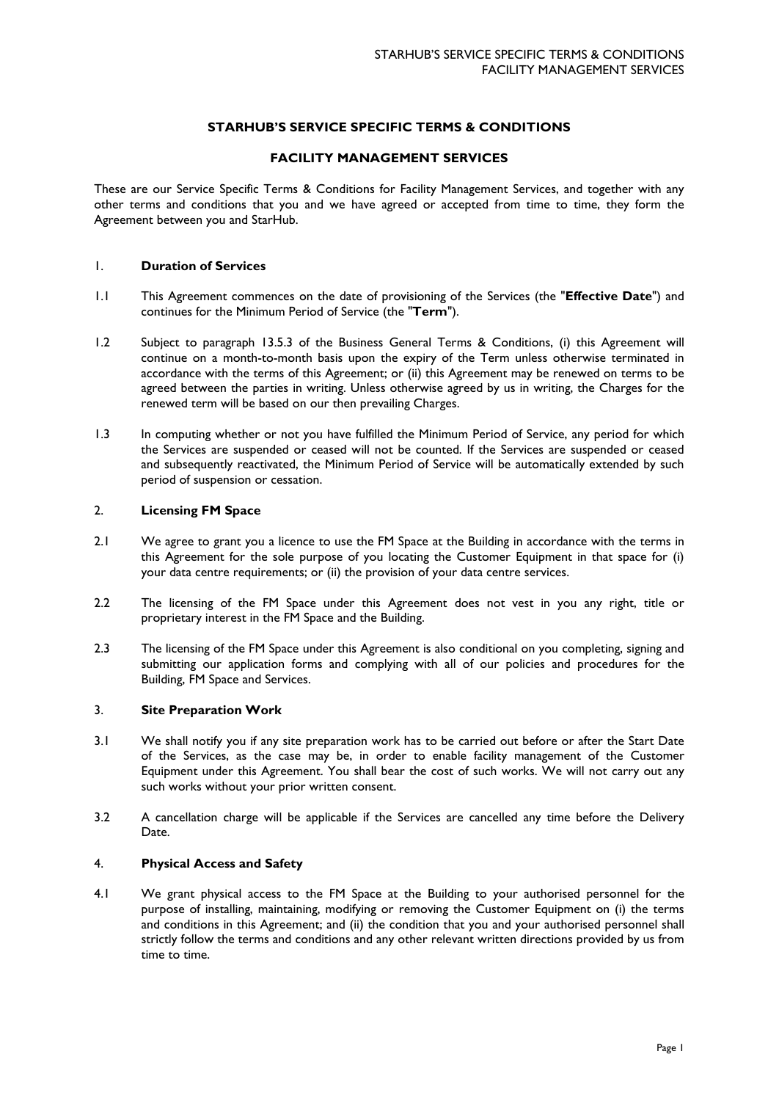# **STARHUB'S SERVICE SPECIFIC TERMS & CONDITIONS**

## **FACILITY MANAGEMENT SERVICES**

These are our Service Specific Terms & Conditions for Facility Management Services, and together with any other terms and conditions that you and we have agreed or accepted from time to time, they form the Agreement between you and StarHub.

# 1. **Duration of Services**

- 1.1 This Agreement commences on the date of provisioning of the Services (the "**Effective Date**") and continues for the Minimum Period of Service (the "**Term**").
- 1.2 Subject to paragraph 13.5.3 of the Business General Terms & Conditions, (i) this Agreement will continue on a month-to-month basis upon the expiry of the Term unless otherwise terminated in accordance with the terms of this Agreement; or (ii) this Agreement may be renewed on terms to be agreed between the parties in writing. Unless otherwise agreed by us in writing, the Charges for the renewed term will be based on our then prevailing Charges.
- 1.3 In computing whether or not you have fulfilled the Minimum Period of Service, any period for which the Services are suspended or ceased will not be counted. If the Services are suspended or ceased and subsequently reactivated, the Minimum Period of Service will be automatically extended by such period of suspension or cessation.

### 2. **Licensing FM Space**

- 2.1 We agree to grant you a licence to use the FM Space at the Building in accordance with the terms in this Agreement for the sole purpose of you locating the Customer Equipment in that space for (i) your data centre requirements; or (ii) the provision of your data centre services.
- 2.2 The licensing of the FM Space under this Agreement does not vest in you any right, title or proprietary interest in the FM Space and the Building.
- 2.3 The licensing of the FM Space under this Agreement is also conditional on you completing, signing and submitting our application forms and complying with all of our policies and procedures for the Building, FM Space and Services.

# 3. **Site Preparation Work**

- 3.1 We shall notify you if any site preparation work has to be carried out before or after the Start Date of the Services, as the case may be, in order to enable facility management of the Customer Equipment under this Agreement. You shall bear the cost of such works. We will not carry out any such works without your prior written consent.
- 3.2 A cancellation charge will be applicable if the Services are cancelled any time before the Delivery Date.

### 4. **Physical Access and Safety**

4.1 We grant physical access to the FM Space at the Building to your authorised personnel for the purpose of installing, maintaining, modifying or removing the Customer Equipment on (i) the terms and conditions in this Agreement; and (ii) the condition that you and your authorised personnel shall strictly follow the terms and conditions and any other relevant written directions provided by us from time to time.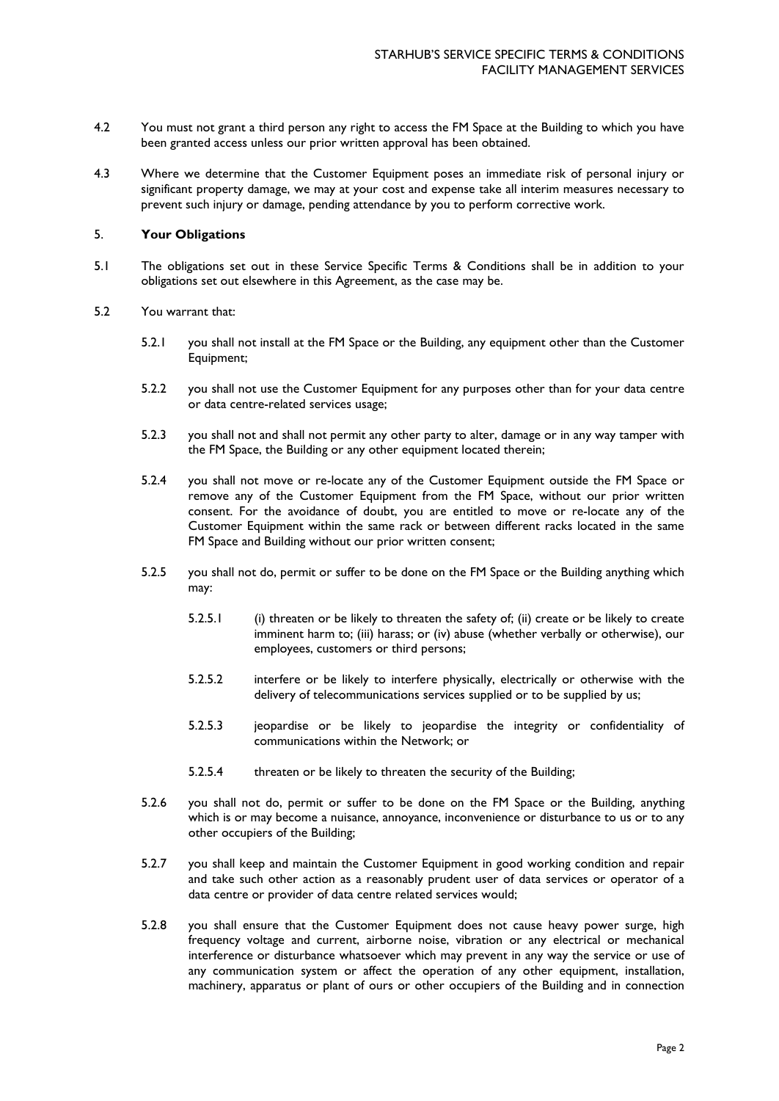- 4.2 You must not grant a third person any right to access the FM Space at the Building to which you have been granted access unless our prior written approval has been obtained.
- 4.3 Where we determine that the Customer Equipment poses an immediate risk of personal injury or significant property damage, we may at your cost and expense take all interim measures necessary to prevent such injury or damage, pending attendance by you to perform corrective work.

### 5. **Your Obligations**

- 5.1 The obligations set out in these Service Specific Terms & Conditions shall be in addition to your obligations set out elsewhere in this Agreement, as the case may be.
- 5.2 You warrant that:
	- 5.2.1 you shall not install at the FM Space or the Building, any equipment other than the Customer Equipment;
	- 5.2.2 you shall not use the Customer Equipment for any purposes other than for your data centre or data centre-related services usage;
	- 5.2.3 you shall not and shall not permit any other party to alter, damage or in any way tamper with the FM Space, the Building or any other equipment located therein;
	- 5.2.4 you shall not move or re-locate any of the Customer Equipment outside the FM Space or remove any of the Customer Equipment from the FM Space, without our prior written consent. For the avoidance of doubt, you are entitled to move or re-locate any of the Customer Equipment within the same rack or between different racks located in the same FM Space and Building without our prior written consent;
	- 5.2.5 you shall not do, permit or suffer to be done on the FM Space or the Building anything which may:
		- 5.2.5.1 (i) threaten or be likely to threaten the safety of; (ii) create or be likely to create imminent harm to; (iii) harass; or (iv) abuse (whether verbally or otherwise), our employees, customers or third persons;
		- 5.2.5.2 interfere or be likely to interfere physically, electrically or otherwise with the delivery of telecommunications services supplied or to be supplied by us;
		- 5.2.5.3 jeopardise or be likely to jeopardise the integrity or confidentiality of communications within the Network; or
		- 5.2.5.4 threaten or be likely to threaten the security of the Building;
	- 5.2.6 you shall not do, permit or suffer to be done on the FM Space or the Building, anything which is or may become a nuisance, annoyance, inconvenience or disturbance to us or to any other occupiers of the Building;
	- 5.2.7 you shall keep and maintain the Customer Equipment in good working condition and repair and take such other action as a reasonably prudent user of data services or operator of a data centre or provider of data centre related services would;
	- 5.2.8 you shall ensure that the Customer Equipment does not cause heavy power surge, high frequency voltage and current, airborne noise, vibration or any electrical or mechanical interference or disturbance whatsoever which may prevent in any way the service or use of any communication system or affect the operation of any other equipment, installation, machinery, apparatus or plant of ours or other occupiers of the Building and in connection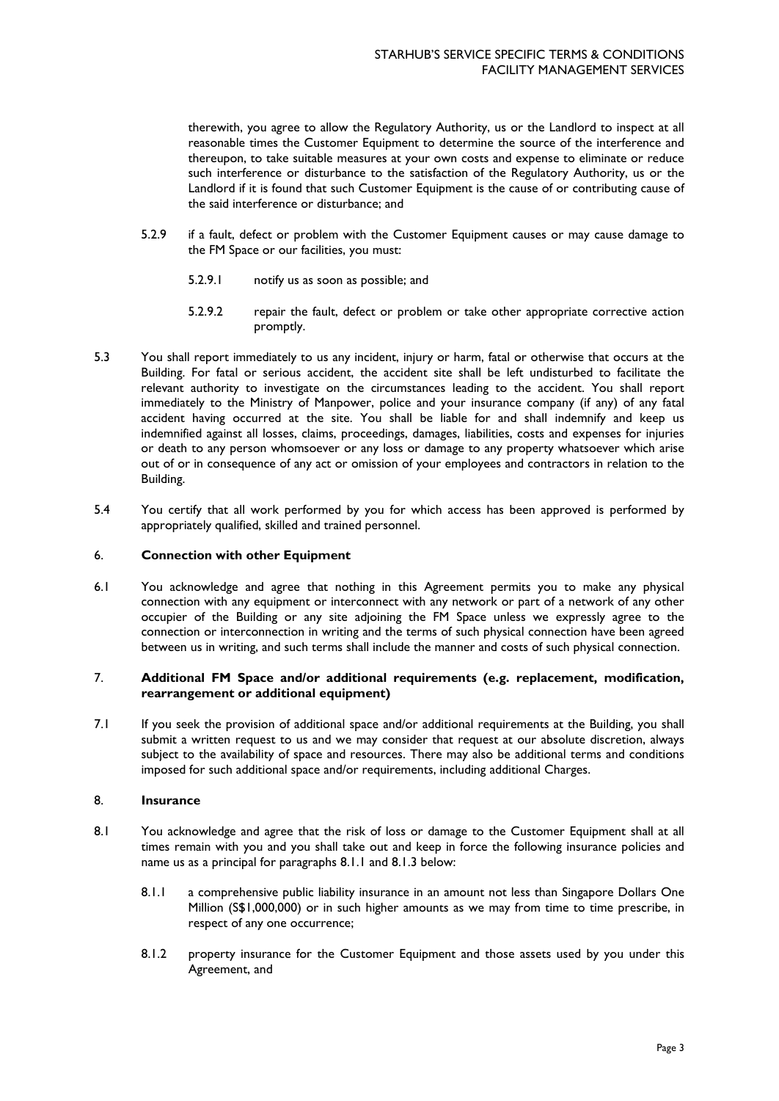therewith, you agree to allow the Regulatory Authority, us or the Landlord to inspect at all reasonable times the Customer Equipment to determine the source of the interference and thereupon, to take suitable measures at your own costs and expense to eliminate or reduce such interference or disturbance to the satisfaction of the Regulatory Authority, us or the Landlord if it is found that such Customer Equipment is the cause of or contributing cause of the said interference or disturbance; and

- 5.2.9 if a fault, defect or problem with the Customer Equipment causes or may cause damage to the FM Space or our facilities, you must:
	- 5.2.9.1 notify us as soon as possible; and
	- 5.2.9.2 repair the fault, defect or problem or take other appropriate corrective action promptly.
- 5.3 You shall report immediately to us any incident, injury or harm, fatal or otherwise that occurs at the Building. For fatal or serious accident, the accident site shall be left undisturbed to facilitate the relevant authority to investigate on the circumstances leading to the accident. You shall report immediately to the Ministry of Manpower, police and your insurance company (if any) of any fatal accident having occurred at the site. You shall be liable for and shall indemnify and keep us indemnified against all losses, claims, proceedings, damages, liabilities, costs and expenses for injuries or death to any person whomsoever or any loss or damage to any property whatsoever which arise out of or in consequence of any act or omission of your employees and contractors in relation to the Building.
- 5.4 You certify that all work performed by you for which access has been approved is performed by appropriately qualified, skilled and trained personnel.

### 6. **Connection with other Equipment**

6.1 You acknowledge and agree that nothing in this Agreement permits you to make any physical connection with any equipment or interconnect with any network or part of a network of any other occupier of the Building or any site adjoining the FM Space unless we expressly agree to the connection or interconnection in writing and the terms of such physical connection have been agreed between us in writing, and such terms shall include the manner and costs of such physical connection.

## 7. **Additional FM Space and/or additional requirements (e.g. replacement, modification, rearrangement or additional equipment)**

7.1 If you seek the provision of additional space and/or additional requirements at the Building, you shall submit a written request to us and we may consider that request at our absolute discretion, always subject to the availability of space and resources. There may also be additional terms and conditions imposed for such additional space and/or requirements, including additional Charges.

## 8. **Insurance**

- 8.1 You acknowledge and agree that the risk of loss or damage to the Customer Equipment shall at all times remain with you and you shall take out and keep in force the following insurance policies and name us as a principal for paragraphs 8.1.1 and 8.1.3 below:
	- 8.1.1 a comprehensive public liability insurance in an amount not less than Singapore Dollars One Million (S\$1,000,000) or in such higher amounts as we may from time to time prescribe, in respect of any one occurrence;
	- 8.1.2 property insurance for the Customer Equipment and those assets used by you under this Agreement, and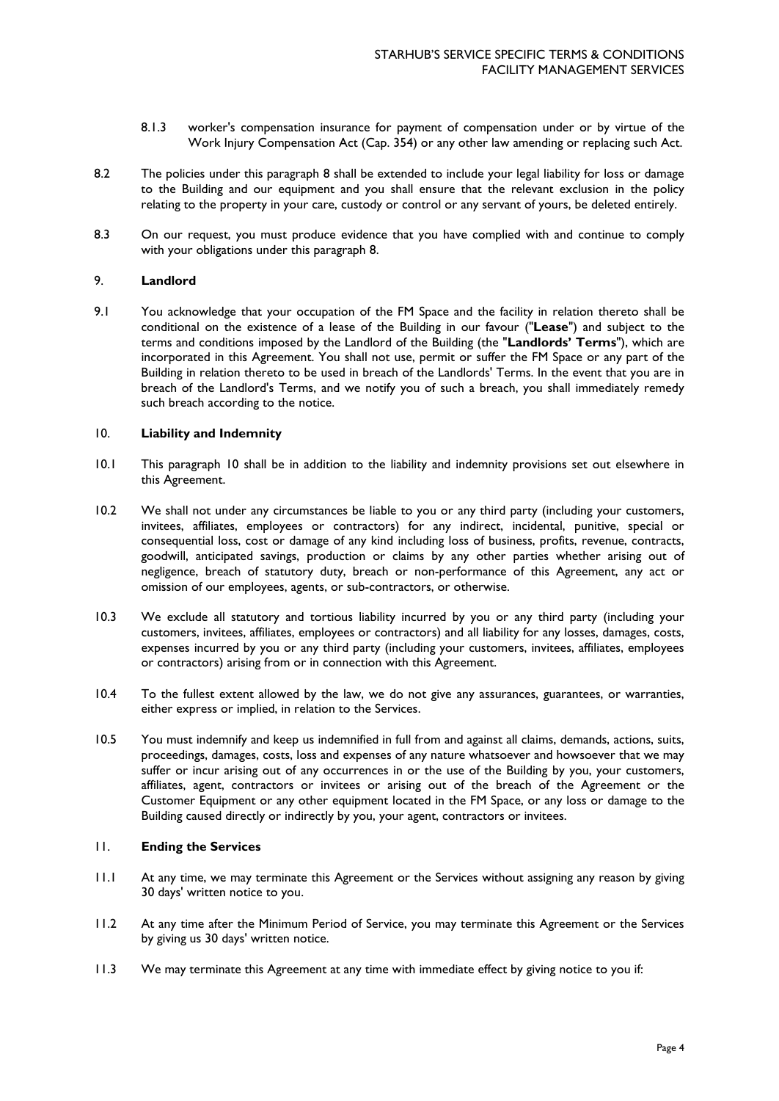- 8.1.3 worker's compensation insurance for payment of compensation under or by virtue of the Work Injury Compensation Act (Cap. 354) or any other law amending or replacing such Act.
- 8.2 The policies under this paragraph 8 shall be extended to include your legal liability for loss or damage to the Building and our equipment and you shall ensure that the relevant exclusion in the policy relating to the property in your care, custody or control or any servant of yours, be deleted entirely.
- 8.3 On our request, you must produce evidence that you have complied with and continue to comply with your obligations under this paragraph 8.

### 9. **Landlord**

9.1 You acknowledge that your occupation of the FM Space and the facility in relation thereto shall be conditional on the existence of a lease of the Building in our favour ("**Lease**") and subject to the terms and conditions imposed by the Landlord of the Building (the "**Landlords' Terms**"), which are incorporated in this Agreement. You shall not use, permit or suffer the FM Space or any part of the Building in relation thereto to be used in breach of the Landlords' Terms. In the event that you are in breach of the Landlord's Terms, and we notify you of such a breach, you shall immediately remedy such breach according to the notice.

### 10. **Liability and Indemnity**

- 10.1 This paragraph 10 shall be in addition to the liability and indemnity provisions set out elsewhere in this Agreement.
- 10.2 We shall not under any circumstances be liable to you or any third party (including your customers, invitees, affiliates, employees or contractors) for any indirect, incidental, punitive, special or consequential loss, cost or damage of any kind including loss of business, profits, revenue, contracts, goodwill, anticipated savings, production or claims by any other parties whether arising out of negligence, breach of statutory duty, breach or non-performance of this Agreement, any act or omission of our employees, agents, or sub-contractors, or otherwise.
- 10.3 We exclude all statutory and tortious liability incurred by you or any third party (including your customers, invitees, affiliates, employees or contractors) and all liability for any losses, damages, costs, expenses incurred by you or any third party (including your customers, invitees, affiliates, employees or contractors) arising from or in connection with this Agreement.
- 10.4 To the fullest extent allowed by the law, we do not give any assurances, guarantees, or warranties, either express or implied, in relation to the Services.
- 10.5 You must indemnify and keep us indemnified in full from and against all claims, demands, actions, suits, proceedings, damages, costs, loss and expenses of any nature whatsoever and howsoever that we may suffer or incur arising out of any occurrences in or the use of the Building by you, your customers, affiliates, agent, contractors or invitees or arising out of the breach of the Agreement or the Customer Equipment or any other equipment located in the FM Space, or any loss or damage to the Building caused directly or indirectly by you, your agent, contractors or invitees.

#### 11. **Ending the Services**

- 11.1 At any time, we may terminate this Agreement or the Services without assigning any reason by giving 30 days' written notice to you.
- 11.2 At any time after the Minimum Period of Service, you may terminate this Agreement or the Services by giving us 30 days' written notice.
- 11.3 We may terminate this Agreement at any time with immediate effect by giving notice to you if: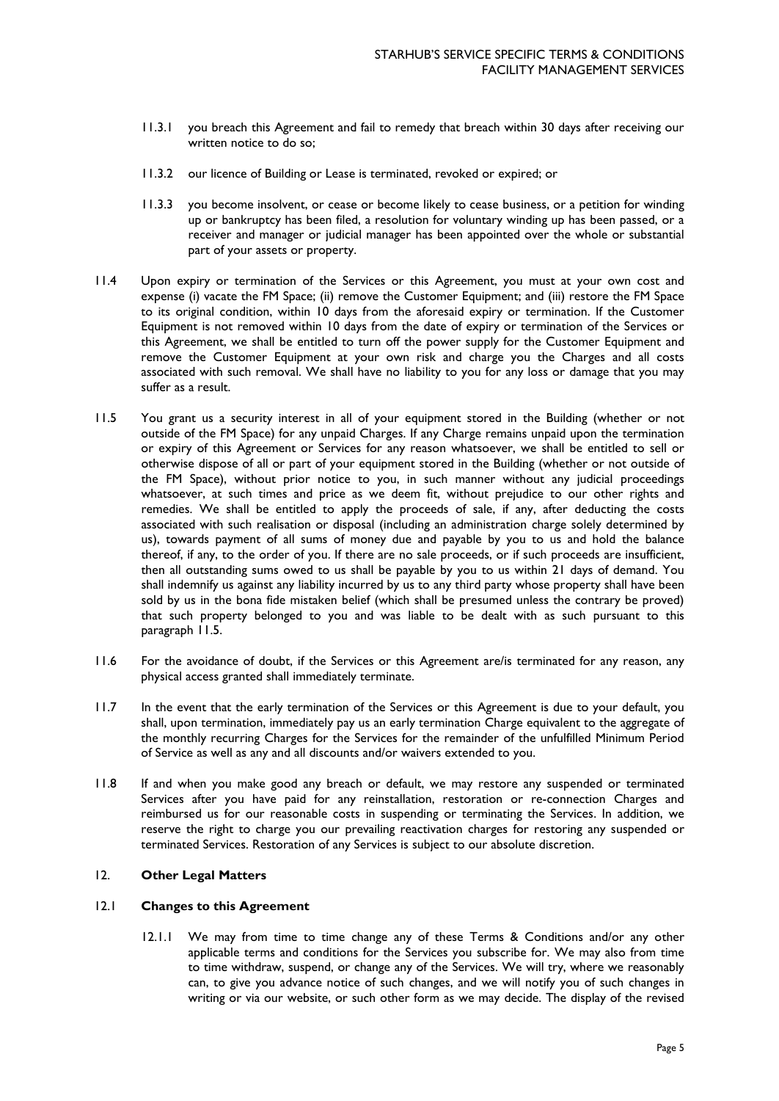- 11.3.1 you breach this Agreement and fail to remedy that breach within 30 days after receiving our written notice to do so;
- 11.3.2 our licence of Building or Lease is terminated, revoked or expired; or
- 11.3.3 you become insolvent, or cease or become likely to cease business, or a petition for winding up or bankruptcy has been filed, a resolution for voluntary winding up has been passed, or a receiver and manager or judicial manager has been appointed over the whole or substantial part of your assets or property.
- 11.4 Upon expiry or termination of the Services or this Agreement, you must at your own cost and expense (i) vacate the FM Space; (ii) remove the Customer Equipment; and (iii) restore the FM Space to its original condition, within 10 days from the aforesaid expiry or termination. If the Customer Equipment is not removed within 10 days from the date of expiry or termination of the Services or this Agreement, we shall be entitled to turn off the power supply for the Customer Equipment and remove the Customer Equipment at your own risk and charge you the Charges and all costs associated with such removal. We shall have no liability to you for any loss or damage that you may suffer as a result.
- 11.5 You grant us a security interest in all of your equipment stored in the Building (whether or not outside of the FM Space) for any unpaid Charges. If any Charge remains unpaid upon the termination or expiry of this Agreement or Services for any reason whatsoever, we shall be entitled to sell or otherwise dispose of all or part of your equipment stored in the Building (whether or not outside of the FM Space), without prior notice to you, in such manner without any judicial proceedings whatsoever, at such times and price as we deem fit, without prejudice to our other rights and remedies. We shall be entitled to apply the proceeds of sale, if any, after deducting the costs associated with such realisation or disposal (including an administration charge solely determined by us), towards payment of all sums of money due and payable by you to us and hold the balance thereof, if any, to the order of you. If there are no sale proceeds, or if such proceeds are insufficient, then all outstanding sums owed to us shall be payable by you to us within 21 days of demand. You shall indemnify us against any liability incurred by us to any third party whose property shall have been sold by us in the bona fide mistaken belief (which shall be presumed unless the contrary be proved) that such property belonged to you and was liable to be dealt with as such pursuant to this paragraph 11.5.
- 11.6 For the avoidance of doubt, if the Services or this Agreement are/is terminated for any reason, any physical access granted shall immediately terminate.
- 11.7 In the event that the early termination of the Services or this Agreement is due to your default, you shall, upon termination, immediately pay us an early termination Charge equivalent to the aggregate of the monthly recurring Charges for the Services for the remainder of the unfulfilled Minimum Period of Service as well as any and all discounts and/or waivers extended to you.
- 11.8 If and when you make good any breach or default, we may restore any suspended or terminated Services after you have paid for any reinstallation, restoration or re-connection Charges and reimbursed us for our reasonable costs in suspending or terminating the Services. In addition, we reserve the right to charge you our prevailing reactivation charges for restoring any suspended or terminated Services. Restoration of any Services is subject to our absolute discretion.

### 12. **Other Legal Matters**

### 12.1 **Changes to this Agreement**

12.1.1 We may from time to time change any of these Terms & Conditions and/or any other applicable terms and conditions for the Services you subscribe for. We may also from time to time withdraw, suspend, or change any of the Services. We will try, where we reasonably can, to give you advance notice of such changes, and we will notify you of such changes in writing or via our website, or such other form as we may decide. The display of the revised